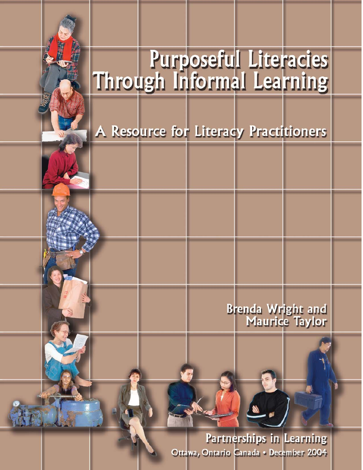# **Purposeful Literacies**<br>Through Informal Learning

A Resource for Literacy Practitioners

**Brenda Wright and<br>Maurice Taylor** 

Partnerships in Learning Ottawa, Ontario Canada • December 2004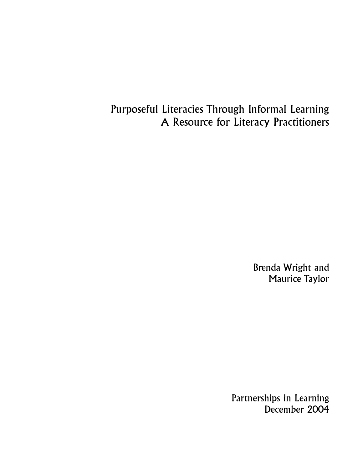Purposeful Literacies Through Informal Learning A Resource for Literacy Practitioners

> Brenda Wright and Maurice Taylor

Partnerships in Learning December 2004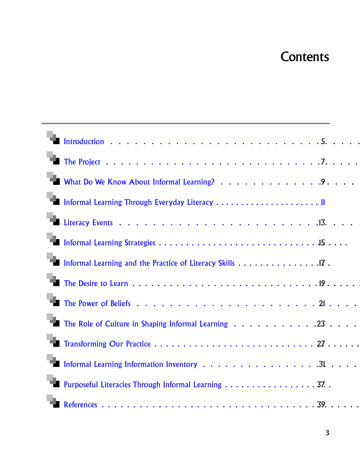## **Contents**

| ъ   |                                                            |
|-----|------------------------------------------------------------|
|     |                                                            |
|     |                                                            |
| ٦'n |                                                            |
|     | Informal Learning and the Practice of Literacy Skills 17 . |
|     |                                                            |
| ъ.  |                                                            |
| ъ.  | The Role of Culture in Shaping Informal Learning 23        |
|     |                                                            |
| ۹.  |                                                            |
| 79. | Purposeful Literacies Through Informal Learning 37. .      |
|     |                                                            |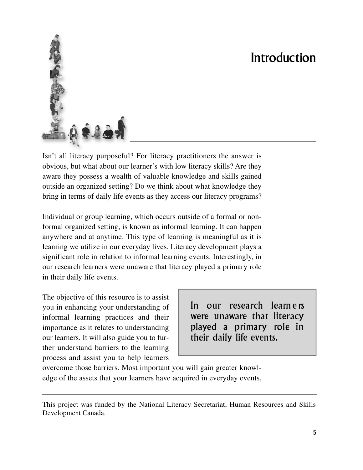## Introduction

<span id="page-3-0"></span>

Isn't all literacy purposeful? For literacy practitioners the answer is obvious, but what about our learner's with low literacy skills? Are they aware they possess a wealth of valuable knowledge and skills gained outside an organized setting? Do we think about what knowledge they bring in terms of daily life events as they access our literacy programs?

Individual or group learning, which occurs outside of a formal or nonformal organized setting, is known as informal learning. It can happen anywhere and at anytime. This type of learning is meaningful as it is learning we utilize in our everyday lives. Literacy development plays a significant role in relation to informal learning events. Interestingly, in our research learners were unaware that literacy played a primary role in their daily life events.

The objective of this resource is to assist you in enhancing your understanding of informal learning practices and their importance as it relates to understanding our learners. It will also guide you to further understand barriers to the learning process and assist you to help learners

In our research learners were unaware that literacy played a primary role in their daily life events.

overcome those barriers. Most important you will gain greater knowledge of the assets that your learners have acquired in everyday events,

This project was funded by the National Literacy Secretariat, Human Resources and Skills Development Canada.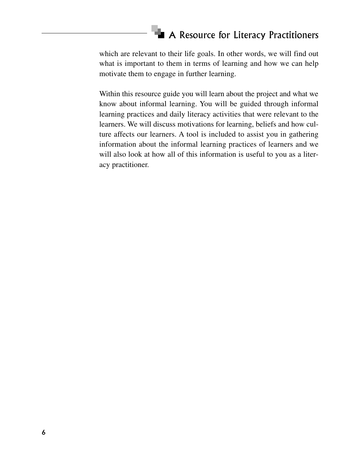which are relevant to their life goals. In other words, we will find out what is important to them in terms of learning and how we can help motivate them to engage in further learning.

Within this resource guide you will learn about the project and what we know about informal learning. You will be guided through informal learning practices and daily literacy activities that were relevant to the learners. We will discuss motivations for learning, beliefs and how culture affects our learners. A tool is included to assist you in gathering information about the informal learning practices of learners and we will also look at how all of this information is useful to you as a literacy practitioner.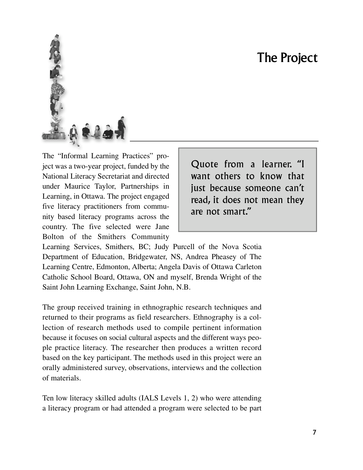## The Project

<span id="page-5-0"></span>

The "Informal Learning Practices" project was a two-year project, funded by the National Literacy Secretariat and directed under Maurice Taylor, Partnerships in Learning, in Ottawa. The project engaged five literacy practitioners from community based literacy programs across the country. The five selected were Jane Bolton of the Smithers Community

Quote from a learner. "I want others to know that just because someone can't read, it does not mean they are not smart."

Learning Services, Smithers, BC; Judy Purcell of the Nova Scotia Department of Education, Bridgewater, NS, Andrea Pheasey of The Learning Centre, Edmonton, Alberta; Angela Davis of Ottawa Carleton Catholic School Board, Ottawa, ON and myself, Brenda Wright of the Saint John Learning Exchange, Saint John, N.B.

The group received training in ethnographic research techniques and returned to their programs as field researchers. Ethnography is a collection of research methods used to compile pertinent information because it focuses on social cultural aspects and the different ways people practice literacy. The researcher then produces a written record based on the key participant. The methods used in this project were an orally administered survey, observations, interviews and the collection of materials.

Ten low literacy skilled adults (IALS Levels 1, 2) who were attending a literacy program or had attended a program were selected to be part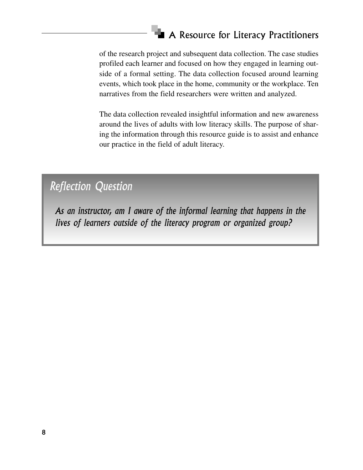of the research project and subsequent data collection. The case studies profiled each learner and focused on how they engaged in learning outside of a formal setting. The data collection focused around learning events, which took place in the home, community or the workplace. Ten narratives from the field researchers were written and analyzed.

The data collection revealed insightful information and new awareness around the lives of adults with low literacy skills. The purpose of sharing the information through this resource guide is to assist and enhance our practice in the field of adult literacy.

*Reflection Question*

*As an instructor, am I aware of the informal learning that happens in the lives of learners outside of the literacy program or organized group?*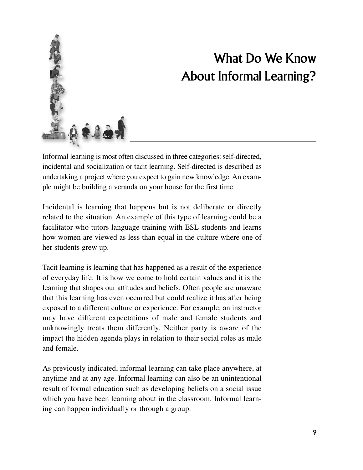<span id="page-7-0"></span>

## What Do We Know About Informal Learning?

Informal learning is most often discussed in three categories: self-directed, incidental and socialization or tacit learning. Self-directed is described as undertaking a project where you expect to gain new knowledge.An example might be building a veranda on your house for the first time.

Incidental is learning that happens but is not deliberate or directly related to the situation. An example of this type of learning could be a facilitator who tutors language training with ESL students and learns how women are viewed as less than equal in the culture where one of her students grew up.

Tacit learning is learning that has happened as a result of the experience of everyday life. It is how we come to hold certain values and it is the learning that shapes our attitudes and beliefs. Often people are unaware that this learning has even occurred but could realize it has after being exposed to a different culture or experience. For example, an instructor may have different expectations of male and female students and unknowingly treats them differently. Neither party is aware of the impact the hidden agenda plays in relation to their social roles as male and female.

As previously indicated, informal learning can take place anywhere, at anytime and at any age. Informal learning can also be an unintentional result of formal education such as developing beliefs on a social issue which you have been learning about in the classroom. Informal learning can happen individually or through a group.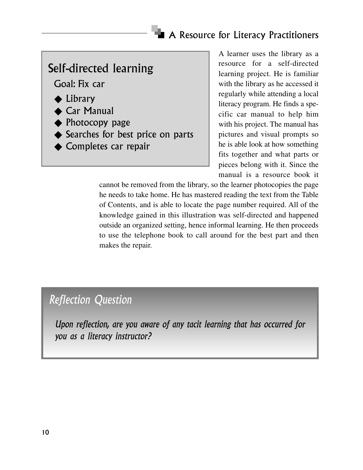#### Self-directed learning

Goal: Fix car

- ◆ Library
- ◆ Car Manual
- ◆ Photocopy page
- ◆ Searches for best price on parts
- ◆ Completes car repair

A learner uses the library as a resource for a self-directed learning project. He is familiar with the library as he accessed it regularly while attending a local literacy program. He finds a specific car manual to help him with his project. The manual has pictures and visual prompts so he is able look at how something fits together and what parts or pieces belong with it. Since the manual is a resource book it

cannot be removed from the library, so the learner photocopies the page he needs to take home. He has mastered reading the text from the Table of Contents, and is able to locate the page number required. All of the knowledge gained in this illustration was self-directed and happened outside an organized setting, hence informal learning. He then proceeds to use the telephone book to call around for the best part and then makes the repair.

#### *Reflection Question*

*Upon reflection, are you aware of any tacit learning that has occurred for you as a literacy instructor?*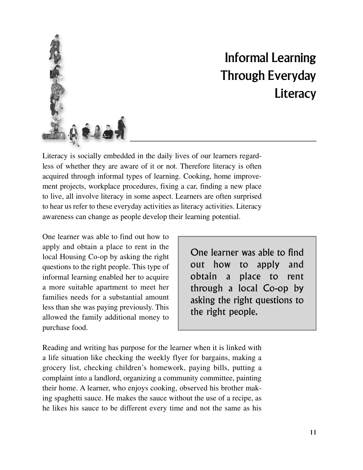

## Informal Learning Through Everyday **Literacy**

Literacy is socially embedded in the daily lives of our learners regardless of whether they are aware of it or not. Therefore literacy is often acquired through informal types of learning. Cooking, home improvement projects, workplace procedures, fixing a car, finding a new place to live, all involve literacy in some aspect. Learners are often surprised to hear us refer to these everyday activities as literacy activities. Literacy awareness can change as people develop their learning potential.

One learner was able to find out how to apply and obtain a place to rent in the local Housing Co-op by asking the right questions to the right people. This type of informal learning enabled her to acquire a more suitable apartment to meet her families needs for a substantial amount less than she was paying previously. This allowed the family additional money to purchase food.

One learner was able to find out how to apply and obtain a place to rent through a local Co-op by asking the right questions to the right people.

Reading and writing has purpose for the learner when it is linked with a life situation like checking the weekly flyer for bargains, making a grocery list, checking children's homework, paying bills, putting a complaint into a landlord, organizing a community committee, painting their home. A learner, who enjoys cooking, observed his brother making spaghetti sauce. He makes the sauce without the use of a recipe, as he likes his sauce to be different every time and not the same as his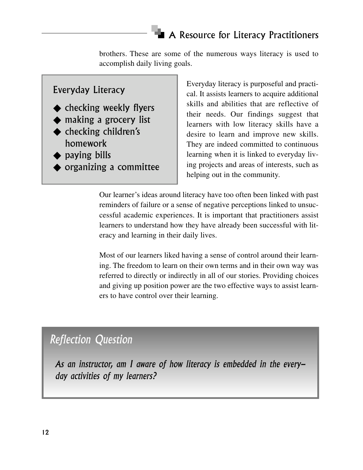brothers. These are some of the numerous ways literacy is used to accomplish daily living goals.

#### Everyday Literacy

- ◆ checking weekly flyers
- ◆ making a grocery list
- ◆ checking children's homework
- ◆ paying bills
- ◆ organizing a committee

Everyday literacy is purposeful and practical. It assists learners to acquire additional skills and abilities that are reflective of their needs. Our findings suggest that learners with low literacy skills have a desire to learn and improve new skills. They are indeed committed to continuous learning when it is linked to everyday living projects and areas of interests, such as helping out in the community.

Our learner's ideas around literacy have too often been linked with past reminders of failure or a sense of negative perceptions linked to unsuccessful academic experiences. It is important that practitioners assist learners to understand how they have already been successful with literacy and learning in their daily lives.

Most of our learners liked having a sense of control around their learning. The freedom to learn on their own terms and in their own way was referred to directly or indirectly in all of our stories. Providing choices and giving up position power are the two effective ways to assist learners to have control over their learning.

#### *Reflection Question*

*As an instructor, am I aware of how literacy is embedded in the everyday activities of my learners?*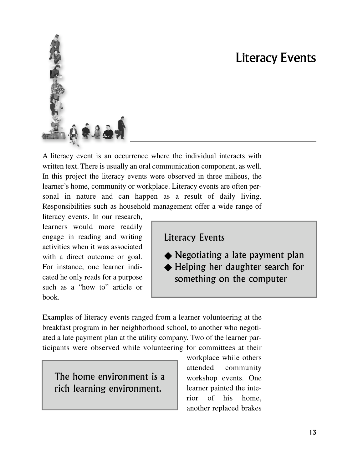## Literacy Events

<span id="page-11-0"></span>

A literacy event is an occurrence where the individual interacts with written text. There is usually an oral communication component, as well. In this project the literacy events were observed in three milieus, the learner's home, community or workplace. Literacy events are often personal in nature and can happen as a result of daily living. Responsibilities such as household management offer a wide range of

literacy events. In our research, learners would more readily engage in reading and writing activities when it was associated with a direct outcome or goal. For instance, one learner indicated he only reads for a purpose such as a "how to" article or  $book<sub>1</sub>$ 

Literacy Events

◆ Negotiating a late payment plan ◆ Helping her daughter search for something on the computer

Examples of literacy events ranged from a learner volunteering at the breakfast program in her neighborhood school, to another who negotiated a late payment plan at the utility company. Two of the learner participants were observed while volunteering for committees at their

The home environment is a rich learning environment.

workplace while others attended community workshop events. One learner painted the interior of his home, another replaced brakes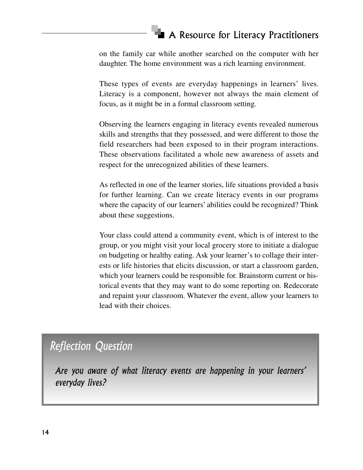on the family car while another searched on the computer with her daughter. The home environment was a rich learning environment.

These types of events are everyday happenings in learners' lives. Literacy is a component, however not always the main element of focus, as it might be in a formal classroom setting.

Observing the learners engaging in literacy events revealed numerous skills and strengths that they possessed, and were different to those the field researchers had been exposed to in their program interactions. These observations facilitated a whole new awareness of assets and respect for the unrecognized abilities of these learners.

As reflected in one of the learner stories, life situations provided a basis for further learning. Can we create literacy events in our programs where the capacity of our learners' abilities could be recognized? Think about these suggestions.

Your class could attend a community event, which is of interest to the group, or you might visit your local grocery store to initiate a dialogue on budgeting or healthy eating. Ask your learner's to collage their interests or life histories that elicits discussion, or start a classroom garden, which your learners could be responsible for. Brainstorm current or historical events that they may want to do some reporting on. Redecorate and repaint your classroom. Whatever the event, allow your learners to lead with their choices.

#### *Reflection Question*

*Are you aware of what literacy events are happening in your learners' everyday lives?*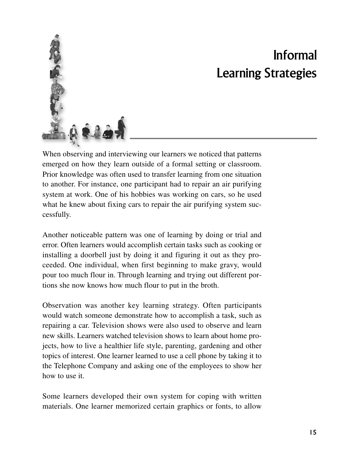<span id="page-13-0"></span>

## Informal Learning Strategies

When observing and interviewing our learners we noticed that patterns emerged on how they learn outside of a formal setting or classroom. Prior knowledge was often used to transfer learning from one situation to another. For instance, one participant had to repair an air purifying system at work. One of his hobbies was working on cars, so he used what he knew about fixing cars to repair the air purifying system successfully.

Another noticeable pattern was one of learning by doing or trial and error. Often learners would accomplish certain tasks such as cooking or installing a doorbell just by doing it and figuring it out as they proceeded. One individual, when first beginning to make gravy, would pour too much flour in. Through learning and trying out different portions she now knows how much flour to put in the broth.

Observation was another key learning strategy. Often participants would watch someone demonstrate how to accomplish a task, such as repairing a car. Television shows were also used to observe and learn new skills. Learners watched television shows to learn about home projects, how to live a healthier life style, parenting, gardening and other topics of interest. One learner learned to use a cell phone by taking it to the Telephone Company and asking one of the employees to show her how to use it.

Some learners developed their own system for coping with written materials. One learner memorized certain graphics or fonts, to allow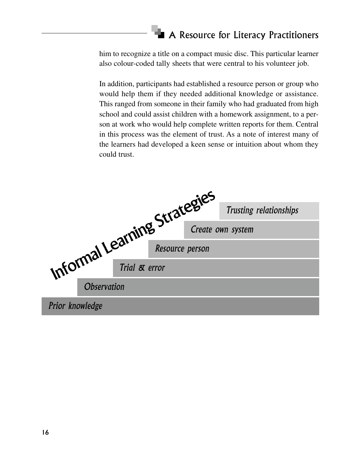him to recognize a title on a compact music disc. This particular learner also colour-coded tally sheets that were central to his volunteer job.

In addition, participants had established a resource person or group who would help them if they needed additional knowledge or assistance. This ranged from someone in their family who had graduated from high school and could assist children with a homework assignment, to a person at work who would help complete written reports for them. Central in this process was the element of trust. As a note of interest many of the learners had developed a keen sense or intuition about whom they could trust.

|                              |                    |  | Trusting relationships |
|------------------------------|--------------------|--|------------------------|
|                              |                    |  | Create own system      |
|                              |                    |  |                        |
| Informal Learning Strategies |                    |  |                        |
|                              | <b>Observation</b> |  |                        |
| Prior knowledge              |                    |  |                        |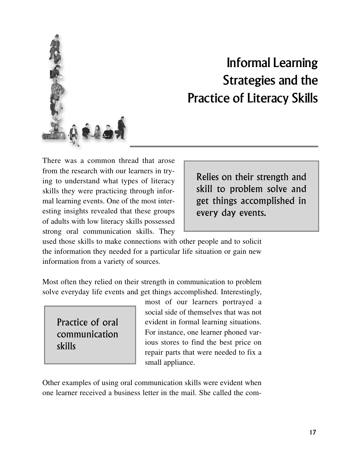<span id="page-15-0"></span>

## Informal Learning Strategies and the Practice of Literacy Skills

There was a common thread that arose from the research with our learners in trying to understand what types of literacy skills they were practicing through informal learning events. One of the most interesting insights revealed that these groups of adults with low literacy skills possessed strong oral communication skills. They

Relies on their strength and skill to problem solve and get things accomplished in every day events.

used those skills to make connections with other people and to solicit the information they needed for a particular life situation or gain new information from a variety of sources.

Most often they relied on their strength in communication to problem solve everyday life events and get things accomplished. Interestingly,

Practice of oral communication skills

most of our learners portrayed a social side of themselves that was not evident in formal learning situations. For instance, one learner phoned various stores to find the best price on repair parts that were needed to fix a small appliance.

Other examples of using oral communication skills were evident when one learner received a business letter in the mail. She called the com-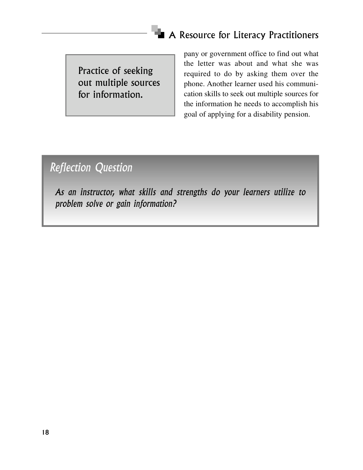Practice of seeking out multiple sources for information.

pany or government office to find out what the letter was about and what she was required to do by asking them over the phone. Another learner used his communication skills to seek out multiple sources for the information he needs to accomplish his goal of applying for a disability pension.

#### *Reflection Question*

*As an instructor, what skills and strengths do your learners utilize to problem solve or gain information?*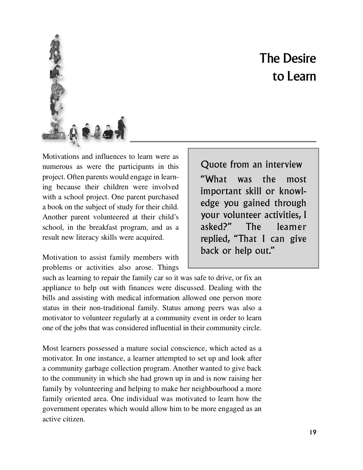## The Desire to Learn

<span id="page-17-0"></span>

Motivations and influences to learn were as numerous as were the participants in this project. Often parents would engage in learning because their children were involved with a school project. One parent purchased a book on the subject of study for their child. Another parent volunteered at their child's school, in the breakfast program, and as a result new literacy skills were acquired.

Motivation to assist family members with problems or activities also arose. Things

Quote from an interview " What was the most important skill or knowledge you gained through your volunteer activities, I asked?" The leamer replied, "That I can give back or help out."

such as learning to repair the family car so it was safe to drive, or fix an appliance to help out with finances were discussed. Dealing with the bills and assisting with medical information allowed one person more status in their non-traditional family. Status among peers was also a motivator to volunteer regularly at a community event in order to learn one of the jobs that was considered influential in their community circle.

Most learners possessed a mature social conscience, which acted as a motivator. In one instance, a learner attempted to set up and look after a community garbage collection program. Another wanted to give back to the community in which she had grown up in and is now raising her family by volunteering and helping to make her neighbourhood a more family oriented area. One individual was motivated to learn how the government operates which would allow him to be more engaged as an active citizen.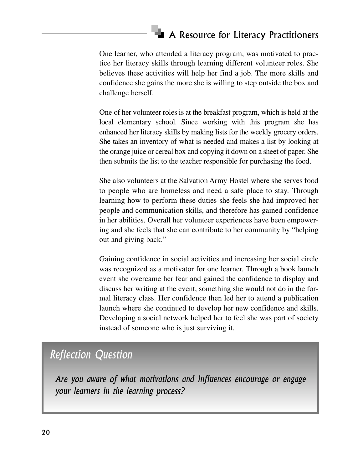One learner, who attended a literacy program, was motivated to practice her literacy skills through learning different volunteer roles. She believes these activities will help her find a job. The more skills and confidence she gains the more she is willing to step outside the box and challenge herself.

One of her volunteer roles is at the breakfast program, which is held at the local elementary school. Since working with this program she has enhanced her literacy skills by making lists for the weekly grocery orders. She takes an inventory of what is needed and makes a list by looking at the orange juice or cereal box and copying it down on a sheet of paper. She then submits the list to the teacher responsible for purchasing the food.

She also volunteers at the Salvation Army Hostel where she serves food to people who are homeless and need a safe place to stay. Through learning how to perform these duties she feels she had improved her people and communication skills, and therefore has gained confidence in her abilities. Overall her volunteer experiences have been empowering and she feels that she can contribute to her community by "helping out and giving back."

Gaining confidence in social activities and increasing her social circle was recognized as a motivator for one learner. Through a book launch event she overcame her fear and gained the confidence to display and discuss her writing at the event, something she would not do in the formal literacy class. Her confidence then led her to attend a publication launch where she continued to develop her new confidence and skills. Developing a social network helped her to feel she was part of society instead of someone who is just surviving it.

#### *Reflection Question*

*Are you aware of what motivations and influences encourage or engage your learners in the learning process?*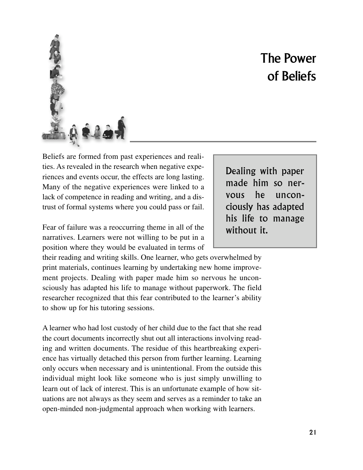## The Power of Beliefs

<span id="page-19-0"></span>

ties. As revealed in the research when negative experiences and events occur, the effects are long lasting. Many of the negative experiences were linked to a lack of competence in reading and writing, and a distrust of formal systems where you could pass or fail.

Fear of failure was a reoccurring theme in all of the narratives. Learners were not willing to be put in a position where they would be evaluated in terms of

their reading and writing skills. One learner, who gets overwhelmed by print materials, continues learning by undertaking new home improvement projects. Dealing with paper made him so nervous he unconsciously has adapted his life to manage without paperwork. The field researcher recognized that this fear contributed to the learner's ability to show up for his tutoring sessions.

A learner who had lost custody of her child due to the fact that she read the court documents incorrectly shut out all interactions involving reading and written documents. The residue of this heartbreaking experience has virtually detached this person from further learning. Learning only occurs when necessary and is unintentional. From the outside this individual might look like someone who is just simply unwilling to learn out of lack of interest. This is an unfortunate example of how situations are not always as they seem and serves as a reminder to take an open-minded non-judgmental approach when working with learners.

Dealing with paper made him so nervous he unconciously has adapted his life to manage without it.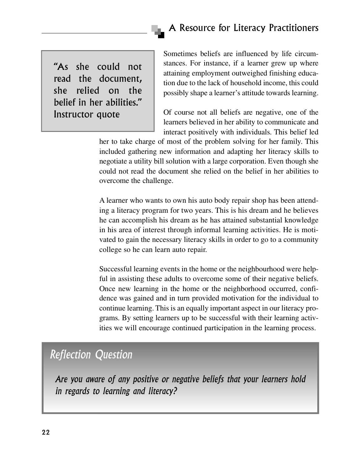"As she could not read the document, she relied on the belief in her abilities." Instructor quote

Sometimes beliefs are influenced by life circumstances. For instance, if a learner grew up where attaining employment outweighed finishing education due to the lack of household income, this could possibly shape a learner's attitude towards learning.

Of course not all beliefs are negative, one of the learners believed in her ability to communicate and interact positively with individuals. This belief led

her to take charge of most of the problem solving for her family. This included gathering new information and adapting her literacy skills to negotiate a utility bill solution with a large corporation. Even though she could not read the document she relied on the belief in her abilities to overcome the challenge.

A learner who wants to own his auto body repair shop has been attending a literacy program for two years. This is his dream and he believes he can accomplish his dream as he has attained substantial knowledge in his area of interest through informal learning activities. He is motivated to gain the necessary literacy skills in order to go to a community college so he can learn auto repair.

Successful learning events in the home or the neighbourhood were helpful in assisting these adults to overcome some of their negative beliefs. Once new learning in the home or the neighborhood occurred, confidence was gained and in turn provided motivation for the individual to continue learning. This is an equally important aspect in our literacy programs. By setting learners up to be successful with their learning activities we will encourage continued participation in the learning process.

#### *Reflection Question*

*Are you aware of any positive or negative beliefs that your learners hold in regards to learning and literacy?*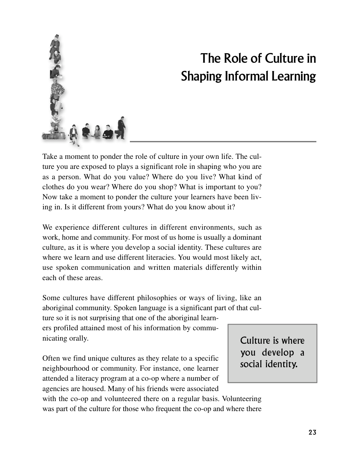<span id="page-21-0"></span>

## The Role of Culture in Shaping Informal Learning

Take a moment to ponder the role of culture in your own life. The culture you are exposed to plays a significant role in shaping who you are as a person. What do you value? Where do you live? What kind of clothes do you wear? Where do you shop? What is important to you? Now take a moment to ponder the culture your learners have been living in. Is it different from yours? What do you know about it?

We experience different cultures in different environments, such as work, home and community. For most of us home is usually a dominant culture, as it is where you develop a social identity. These cultures are where we learn and use different literacies. You would most likely act, use spoken communication and written materials differently within each of these areas.

Some cultures have different philosophies or ways of living, like an aboriginal community. Spoken language is a significant part of that culture so it is not surprising that one of the aboriginal learn-

ers profiled attained most of his information by communicating orally.

Often we find unique cultures as they relate to a specific neighbourhood or community. For instance, one learner attended a literacy program at a co-op where a number of agencies are housed. Many of his friends were associated

Culture is where you develop a social identity.

with the co-op and volunteered there on a regular basis. Volunteering was part of the culture for those who frequent the co-op and where there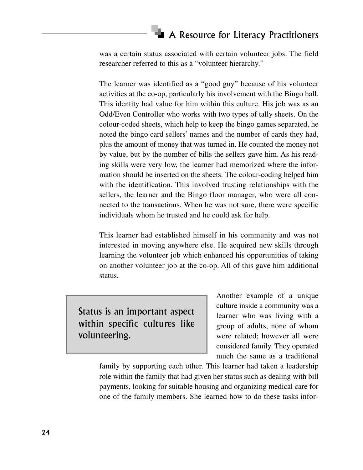was a certain status associated with certain volunteer jobs. The field researcher referred to this as a "volunteer hierarchy."

The learner was identified as a "good guy" because of his volunteer activities at the co-op, particularly his involvement with the Bingo hall. This identity had value for him within this culture. His job was as an Odd/Even Controller who works with two types of tally sheets. On the colour-coded sheets, which help to keep the bingo games separated, he noted the bingo card sellers' names and the number of cards they had, plus the amount of money that was turned in. He counted the money not by value, but by the number of bills the sellers gave him. As his reading skills were very low, the learner had memorized where the information should be inserted on the sheets. The colour-coding helped him with the identification. This involved trusting relationships with the sellers, the learner and the Bingo floor manager, who were all connected to the transactions. When he was not sure, there were specific individuals whom he trusted and he could ask for help.

This learner had established himself in his community and was not interested in moving anywhere else. He acquired new skills through learning the volunteer job which enhanced his opportunities of taking on another volunteer job at the co-op. All of this gave him additional status.

Status is an important aspect within specific cultures like volunteering.

Another example of a unique culture inside a community was a learner who was living with a group of adults, none of whom were related; however all were considered family. They operated much the same as a traditional

family by supporting each other. This learner had taken a leadership role within the family that had given her status such as dealing with bill payments, looking for suitable housing and organizing medical care for one of the family members. She learned how to do these tasks infor-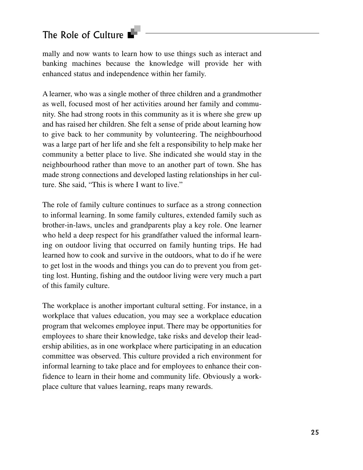#### The Role of Culture

mally and now wants to learn how to use things such as interact and banking machines because the knowledge will provide her with enhanced status and independence within her family.

A learner, who was a single mother of three children and a grandmother as well, focused most of her activities around her family and community. She had strong roots in this community as it is where she grew up and has raised her children. She felt a sense of pride about learning how to give back to her community by volunteering. The neighbourhood was a large part of her life and she felt a responsibility to help make her community a better place to live. She indicated she would stay in the neighbourhood rather than move to an another part of town. She has made strong connections and developed lasting relationships in her culture. She said, "This is where I want to live."

The role of family culture continues to surface as a strong connection to informal learning. In some family cultures, extended family such as brother-in-laws, uncles and grandparents play a key role. One learner who held a deep respect for his grandfather valued the informal learning on outdoor living that occurred on family hunting trips. He had learned how to cook and survive in the outdoors, what to do if he were to get lost in the woods and things you can do to prevent you from getting lost. Hunting, fishing and the outdoor living were very much a part of this family culture.

The workplace is another important cultural setting. For instance, in a workplace that values education, you may see a workplace education program that welcomes employee input. There may be opportunities for employees to share their knowledge, take risks and develop their leadership abilities, as in one workplace where participating in an education committee was observed. This culture provided a rich environment for informal learning to take place and for employees to enhance their confidence to learn in their home and community life. Obviously a workplace culture that values learning, reaps many rewards.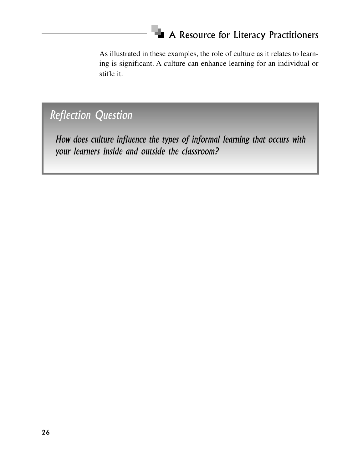As illustrated in these examples, the role of culture as it relates to learning is significant. A culture can enhance learning for an individual or stifle it.

#### *Reflection Question*

*How does culture influence the types of informal learning that occurs with your learners inside and outside the classroom?*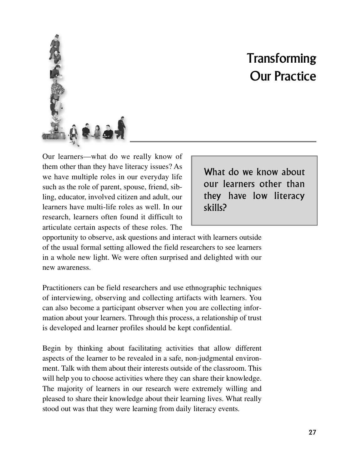## **Transforming** Our Practice

<span id="page-25-0"></span>

What do we know about our learners other than they have low literacy skills?

opportunity to observe, ask questions and interact with learners outside of the usual formal setting allowed the field researchers to see learners in a whole new light. We were often surprised and delighted with our new awareness.

Practitioners can be field researchers and use ethnographic techniques of interviewing, observing and collecting artifacts with learners. You can also become a participant observer when you are collecting information about your learners. Through this process, a relationship of trust is developed and learner profiles should be kept confidential.

Begin by thinking about facilitating activities that allow different aspects of the learner to be revealed in a safe, non-judgmental environment. Talk with them about their interests outside of the classroom. This will help you to choose activities where they can share their knowledge. The majority of learners in our research were extremely willing and pleased to share their knowledge about their learning lives. What really stood out was that they were learning from daily literacy events.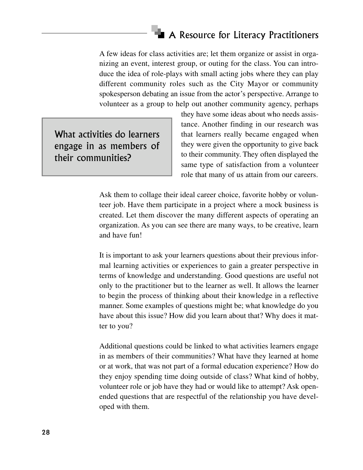A few ideas for class activities are; let them organize or assist in organizing an event, interest group, or outing for the class. You can introduce the idea of role-plays with small acting jobs where they can play different community roles such as the City Mayor or community spokesperson debating an issue from the actor's perspective. Arrange to volunteer as a group to help out another community agency, perhaps

What activities do learners engage in as members of their communities?

they have some ideas about who needs assistance. Another finding in our research was that learners really became engaged when they were given the opportunity to give back to their community. They often displayed the same type of satisfaction from a volunteer role that many of us attain from our careers.

Ask them to collage their ideal career choice, favorite hobby or volunteer job. Have them participate in a project where a mock business is created. Let them discover the many different aspects of operating an organization. As you can see there are many ways, to be creative, learn and have fun!

It is important to ask your learners questions about their previous informal learning activities or experiences to gain a greater perspective in terms of knowledge and understanding. Good questions are useful not only to the practitioner but to the learner as well. It allows the learner to begin the process of thinking about their knowledge in a reflective manner. Some examples of questions might be; what knowledge do you have about this issue? How did you learn about that? Why does it matter to you?

Additional questions could be linked to what activities learners engage in as members of their communities? What have they learned at home or at work, that was not part of a formal education experience? How do they enjoy spending time doing outside of class? What kind of hobby, volunteer role or job have they had or would like to attempt? Ask openended questions that are respectful of the relationship you have developed with them.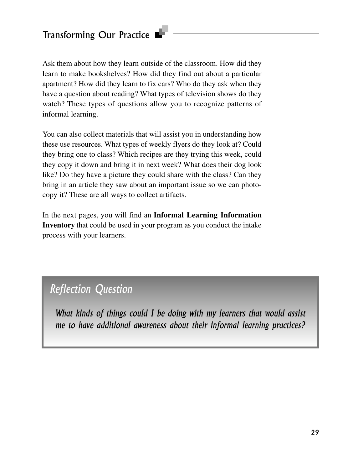Ask them about how they learn outside of the classroom. How did they learn to make bookshelves? How did they find out about a particular apartment? How did they learn to fix cars? Who do they ask when they have a question about reading? What types of television shows do they watch? These types of questions allow you to recognize patterns of informal learning.

You can also collect materials that will assist you in understanding how these use resources. What types of weekly flyers do they look at? Could they bring one to class? Which recipes are they trying this week, could they copy it down and bring it in next week? What does their dog look like? Do they have a picture they could share with the class? Can they bring in an article they saw about an important issue so we can photocopy it? These are all ways to collect artifacts.

In the next pages, you will find an **Informal Learning Information Inventory** that could be used in your program as you conduct the intake process with your learners.

#### *Reflection Question*

*What kinds of things could I be doing with my learners that would assist me to have additional awareness about their informal learning practices?*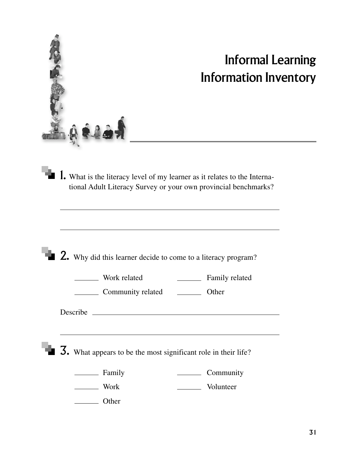<span id="page-28-0"></span>

## Informal Learning Information Inventory

1. What is the literacy level of my learner as it relates to the International Adult Literacy Survey or your own provincial benchmarks?

|      | <b>2.</b> Why did this learner decide to come to a literacy program?                  |                                                |                |
|------|---------------------------------------------------------------------------------------|------------------------------------------------|----------------|
|      | Work related<br>Community related Community vertex-                                   | <u> 1980 - Jan Store, amerikansk politiker</u> | Family related |
|      |                                                                                       |                                                |                |
|      | $\overline{\mathbf{3}}$ . What appears to be the most significant role in their life? |                                                |                |
|      | Family                                                                                |                                                | Community      |
| Work |                                                                                       |                                                | Volunteer      |
|      | Other                                                                                 |                                                |                |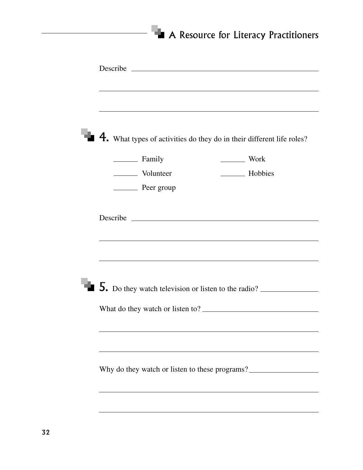|            | $\blacksquare$ 4. What types of activities do they do in their different life roles? |
|------------|--------------------------------------------------------------------------------------|
| Family     | Work                                                                                 |
| Volunteer  | <b>Example 1</b> Hobbies                                                             |
| Peer group |                                                                                      |
|            |                                                                                      |
|            |                                                                                      |
|            | $\blacksquare$ 5. Do they watch television or listen to the radio? $\blacksquare$    |
|            |                                                                                      |
|            |                                                                                      |
|            |                                                                                      |
|            |                                                                                      |
|            |                                                                                      |
|            |                                                                                      |
|            | Why do they watch or listen to these programs?                                       |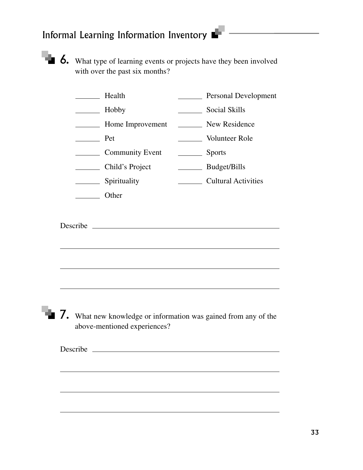

 $\blacksquare$  6. What type of learning events or projects have they been involved with over the past six months?

|     | Health                                                                                          |        | Personal Development       |
|-----|-------------------------------------------------------------------------------------------------|--------|----------------------------|
|     | Hobby                                                                                           |        | <b>Social Skills</b>       |
|     | <b>EXAMPLE Home Improvement</b>                                                                 |        | New Residence              |
| Pet |                                                                                                 |        | Volunteer Role             |
|     | Community Event                                                                                 | Sports |                            |
|     | Child's Project                                                                                 |        | Budget/Bills               |
|     | _________ Spirituality                                                                          |        | <b>Cultural Activities</b> |
|     | Other                                                                                           |        |                            |
|     |                                                                                                 |        |                            |
|     | 7. What new knowledge or information was gained from any of the<br>above-mentioned experiences? |        |                            |
|     |                                                                                                 |        |                            |
|     |                                                                                                 |        |                            |
|     |                                                                                                 |        |                            |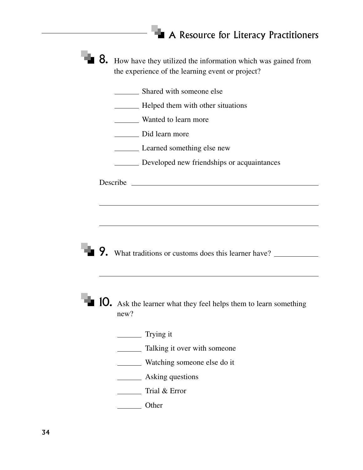| $\blacksquare$ 8. How have they utilized the information which was gained from |
|--------------------------------------------------------------------------------|
| the experience of the learning event or project?                               |

Shared with someone else

**Helped them with other situations** 

**Wanted to learn more** 

Did learn more

**Learned something else new** 

**Developed new friendships or acquaintances** 

Describe

9. What traditions or customs does this learner have?

**10.** Ask the learner what they feel helps them to learn something new?

**Trying it** 

**Talking it over with someone** 

**Watching someone else do it** 

**Example 3** Asking questions

Trial & Error

**Other**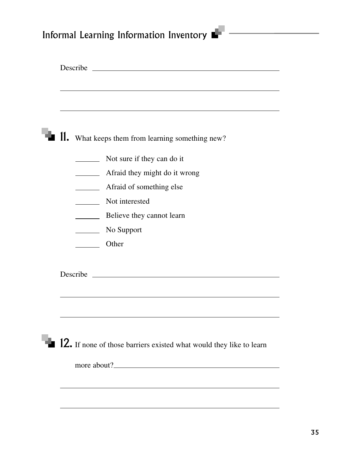## Informal Learning Information Inventory  $\blacksquare$

| $\blacksquare$ 11. What keeps them from learning something new?            |
|----------------------------------------------------------------------------|
| Not sure if they can do it                                                 |
| Afraid they might do it wrong                                              |
| Afraid of something else                                                   |
| Not interested                                                             |
| Believe they cannot learn                                                  |
| $\angle$ No Support                                                        |
| Other                                                                      |
| Describe                                                                   |
|                                                                            |
| <b>12.</b> If none of those barriers existed what would they like to learn |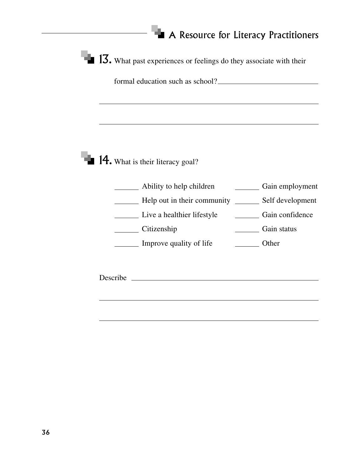$\blacksquare$  13. What past experiences or feelings do they associate with their

formal education such as school?

**14.** What is their literacy goal?

Ability to help children Gain employment Help out in their community \_\_\_\_\_\_\_\_\_ Self development Live a healthier lifestyle Gain confidence Citizenship Gain status Improve quality of life <u>\_\_\_\_\_\_\_</u> Other

Describe Latin and the contract of the contract of the contract of the contract of the contract of the contract of the contract of the contract of the contract of the contract of the contract of the contract of the contrac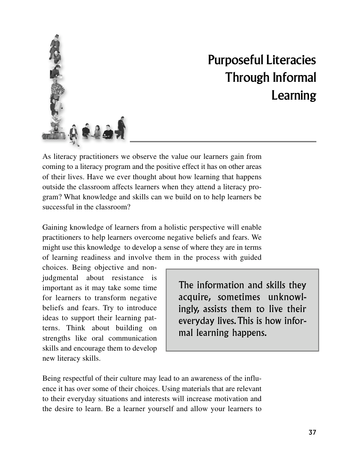<span id="page-34-0"></span>

## Purposeful Literacies Through Informal Learning

As literacy practitioners we observe the value our learners gain from coming to a literacy program and the positive effect it has on other areas of their lives. Have we ever thought about how learning that happens outside the classroom affects learners when they attend a literacy program? What knowledge and skills can we build on to help learners be successful in the classroom?

Gaining knowledge of learners from a holistic perspective will enable practitioners to help learners overcome negative beliefs and fears. We might use this knowledge to develop a sense of where they are in terms of learning readiness and involve them in the process with guided

choices. Being objective and nonjudgmental about resistance is important as it may take some time for learners to transform negative beliefs and fears. Try to introduce ideas to support their learning patterns. Think about building on strengths like oral communication skills and encourage them to develop new literacy skills.

The information and skills they a c quire, sometimes unknowlingly, assists them to live their everyday lives.This is how informal learning happens.

Being respectful of their culture may lead to an awareness of the influence it has over some of their choices. Using materials that are relevant to their everyday situations and interests will increase motivation and the desire to learn. Be a learner yourself and allow your learners to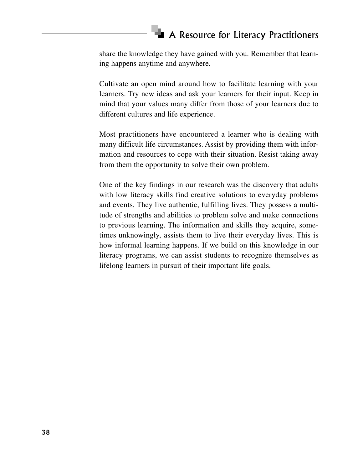share the knowledge they have gained with you. Remember that learning happens anytime and anywhere.

Cultivate an open mind around how to facilitate learning with your learners. Try new ideas and ask your learners for their input. Keep in mind that your values many differ from those of your learners due to different cultures and life experience.

Most practitioners have encountered a learner who is dealing with many difficult life circumstances. Assist by providing them with information and resources to cope with their situation. Resist taking away from them the opportunity to solve their own problem.

One of the key findings in our research was the discovery that adults with low literacy skills find creative solutions to everyday problems and events. They live authentic, fulfilling lives. They possess a multitude of strengths and abilities to problem solve and make connections to previous learning. The information and skills they acquire, sometimes unknowingly, assists them to live their everyday lives. This is how informal learning happens. If we build on this knowledge in our literacy programs, we can assist students to recognize themselves as lifelong learners in pursuit of their important life goals.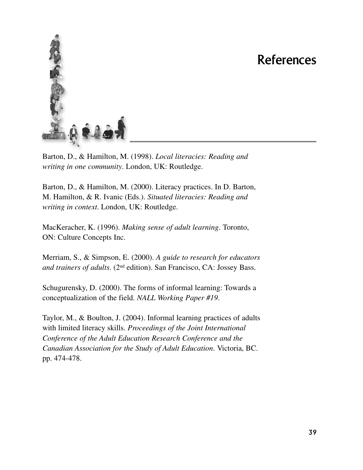### References

<span id="page-36-0"></span>

Barton, D., & Hamilton, M. (1998). *Local literacies: Reading and writing in one community*. London, UK: Routledge.

Barton, D., & Hamilton, M. (2000). Literacy practices. In D. Barton, M. Hamilton, & R. Ivanic (Eds.). *Situated literacies: Reading and writing in context*. London, UK: Routledge.

MacKeracher, K. (1996). *Making sense of adult learning*. Toronto, ON: Culture Concepts Inc.

Merriam, S., & Simpson, E. (2000). *A guide to research for educators and trainers of adults*. (2nd edition). San Francisco, CA: Jossey Bass.

Schugurensky, D. (2000). The forms of informal learning: Towards a conceptualization of the field. *NALL Working Paper #19*.

Taylor, M., & Boulton, J. (2004). Informal learning practices of adults with limited literacy skills. *Proceedings of the Joint International Conference of the Adult Education Research Conference and the Canadian Association for the Study of Adult Education*. Victoria, BC. pp. 474-478.